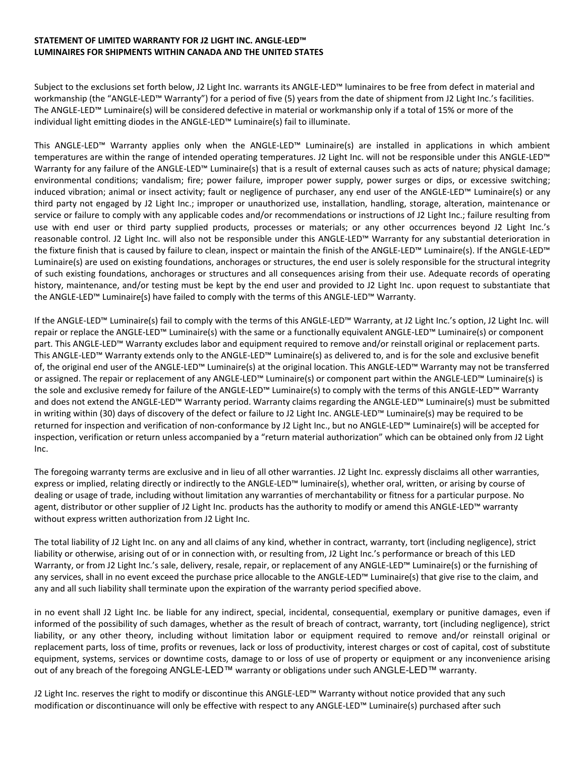## **STATEMENT OF LIMITED WARRANTY FOR J2 LIGHT INC. ANGLE-LED™ LUMINAIRES FOR SHIPMENTS WITHIN CANADA AND THE UNITED STATES**

Subject to the exclusions set forth below, J2 Light Inc. warrants its ANGLE-LED™ luminaires to be free from defect in material and workmanship (the "ANGLE-LED™ Warranty") for a period of five (5) years from the date of shipment from J2 Light Inc.'s facilities. The ANGLE-LED™ Luminaire(s) will be considered defective in material or workmanship only if a total of 15% or more of the individual light emitting diodes in the ANGLE-LED™ Luminaire(s) fail to illuminate.

This ANGLE-LED™ Warranty applies only when the ANGLE-LED™ Luminaire(s) are installed in applications in which ambient temperatures are within the range of intended operating temperatures. J2 Light Inc. will not be responsible under this ANGLE-LED™ Warranty for any failure of the ANGLE-LED™ Luminaire(s) that is a result of external causes such as acts of nature; physical damage; environmental conditions; vandalism; fire; power failure, improper power supply, power surges or dips, or excessive switching; induced vibration; animal or insect activity; fault or negligence of purchaser, any end user of the ANGLE-LED™ Luminaire(s) or any third party not engaged by J2 Light Inc.; improper or unauthorized use, installation, handling, storage, alteration, maintenance or service or failure to comply with any applicable codes and/or recommendations or instructions of J2 Light Inc.; failure resulting from use with end user or third party supplied products, processes or materials; or any other occurrences beyond J2 Light Inc.'s reasonable control. J2 Light Inc. will also not be responsible under this ANGLE-LED™ Warranty for any substantial deterioration in the fixture finish that is caused by failure to clean, inspect or maintain the finish of the ANGLE-LED™ Luminaire(s). If the ANGLE-LED™ Luminaire(s) are used on existing foundations, anchorages or structures, the end user is solely responsible for the structural integrity of such existing foundations, anchorages or structures and all consequences arising from their use. Adequate records of operating history, maintenance, and/or testing must be kept by the end user and provided to J2 Light Inc. upon request to substantiate that the ANGLE-LED™ Luminaire(s) have failed to comply with the terms of this ANGLE-LED™ Warranty.

If the ANGLE-LED™ Luminaire(s) fail to comply with the terms of this ANGLE-LED™ Warranty, at J2 Light Inc.'s option, J2 Light Inc. will repair or replace the ANGLE-LED™ Luminaire(s) with the same or a functionally equivalent ANGLE-LED™ Luminaire(s) or component part. This ANGLE-LED™ Warranty excludes labor and equipment required to remove and/or reinstall original or replacement parts. This ANGLE-LED™ Warranty extends only to the ANGLE-LED™ Luminaire(s) as delivered to, and is for the sole and exclusive benefit of, the original end user of the ANGLE-LED™ Luminaire(s) at the original location. This ANGLE-LED™ Warranty may not be transferred or assigned. The repair or replacement of any ANGLE-LED™ Luminaire(s) or component part within the ANGLE-LED™ Luminaire(s) is the sole and exclusive remedy for failure of the ANGLE-LED™ Luminaire(s) to comply with the terms of this ANGLE-LED™ Warranty and does not extend the ANGLE-LED™ Warranty period. Warranty claims regarding the ANGLE-LED™ Luminaire(s) must be submitted in writing within (30) days of discovery of the defect or failure to J2 Light Inc. ANGLE-LED™ Luminaire(s) may be required to be returned for inspection and verification of non-conformance by J2 Light Inc., but no ANGLE-LED™ Luminaire(s) will be accepted for inspection, verification or return unless accompanied by a "return material authorization" which can be obtained only from J2 Light Inc.

The foregoing warranty terms are exclusive and in lieu of all other warranties. J2 Light Inc. expressly disclaims all other warranties, express or implied, relating directly or indirectly to the ANGLE-LED™ luminaire(s), whether oral, written, or arising by course of dealing or usage of trade, including without limitation any warranties of merchantability or fitness for a particular purpose. No agent, distributor or other supplier of J2 Light Inc. products has the authority to modify or amend this ANGLE-LED™ warranty without express written authorization from J2 Light Inc.

The total liability of J2 Light Inc. on any and all claims of any kind, whether in contract, warranty, tort (including negligence), strict liability or otherwise, arising out of or in connection with, or resulting from, J2 Light Inc.'s performance or breach of this LED Warranty, or from J2 Light Inc.'s sale, delivery, resale, repair, or replacement of any ANGLE-LED™ Luminaire(s) or the furnishing of any services, shall in no event exceed the purchase price allocable to the ANGLE-LED™ Luminaire(s) that give rise to the claim, and any and all such liability shall terminate upon the expiration of the warranty period specified above.

in no event shall J2 Light Inc. be liable for any indirect, special, incidental, consequential, exemplary or punitive damages, even if informed of the possibility of such damages, whether as the result of breach of contract, warranty, tort (including negligence), strict liability, or any other theory, including without limitation labor or equipment required to remove and/or reinstall original or replacement parts, loss of time, profits or revenues, lack or loss of productivity, interest charges or cost of capital, cost of substitute equipment, systems, services or downtime costs, damage to or loss of use of property or equipment or any inconvenience arising out of any breach of the foregoing ANGLE-LED™ warranty or obligations under such ANGLE-LED™ warranty.

J2 Light Inc. reserves the right to modify or discontinue this ANGLE-LED™ Warranty without notice provided that any such modification or discontinuance will only be effective with respect to any ANGLE-LED™ Luminaire(s) purchased after such